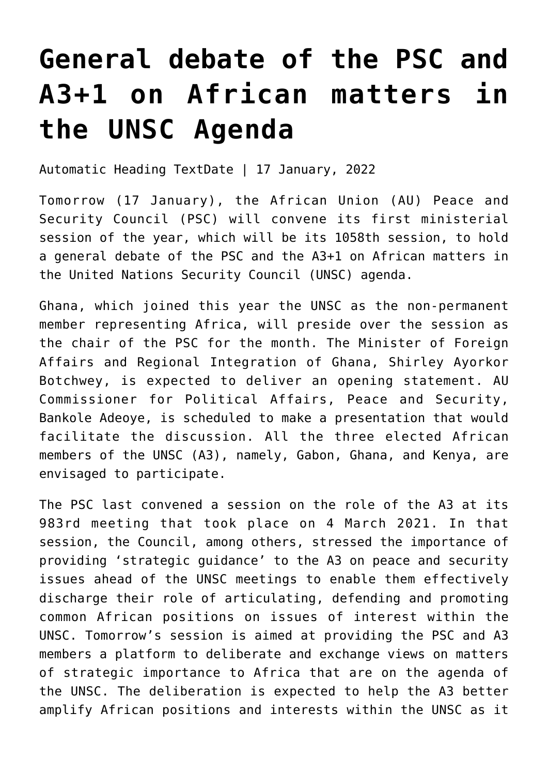## **[General debate of the PSC and](https://amaniafrica-et.org/general-debate-of-the-psc-and-a31/) [A3+1 on African matters in](https://amaniafrica-et.org/general-debate-of-the-psc-and-a31/) [the UNSC Agenda](https://amaniafrica-et.org/general-debate-of-the-psc-and-a31/)**

Automatic Heading TextDate | 17 January, 2022

Tomorrow (17 January), the African Union (AU) Peace and Security Council (PSC) will convene its first ministerial session of the year, which will be its 1058th session, to hold a general debate of the PSC and the A3+1 on African matters in the United Nations Security Council (UNSC) agenda.

Ghana, which joined this year the UNSC as the non-permanent member representing Africa, will preside over the session as the chair of the PSC for the month. The Minister of Foreign Affairs and Regional Integration of Ghana, Shirley Ayorkor Botchwey, is expected to deliver an opening statement. AU Commissioner for Political Affairs, Peace and Security, Bankole Adeoye, is scheduled to make a presentation that would facilitate the discussion. All the three elected African members of the UNSC (A3), namely, Gabon, Ghana, and Kenya, are envisaged to participate.

The PSC last convened a session on the role of the A3 at its 983rd meeting that took place on 4 March 2021. In that session, the Council, among others, stressed the importance of providing 'strategic guidance' to the A3 on peace and security issues ahead of the UNSC meetings to enable them effectively discharge their role of articulating, defending and promoting common African positions on issues of interest within the UNSC. Tomorrow's session is aimed at providing the PSC and A3 members a platform to deliberate and exchange views on matters of strategic importance to Africa that are on the agenda of the UNSC. The deliberation is expected to help the A3 better amplify African positions and interests within the UNSC as it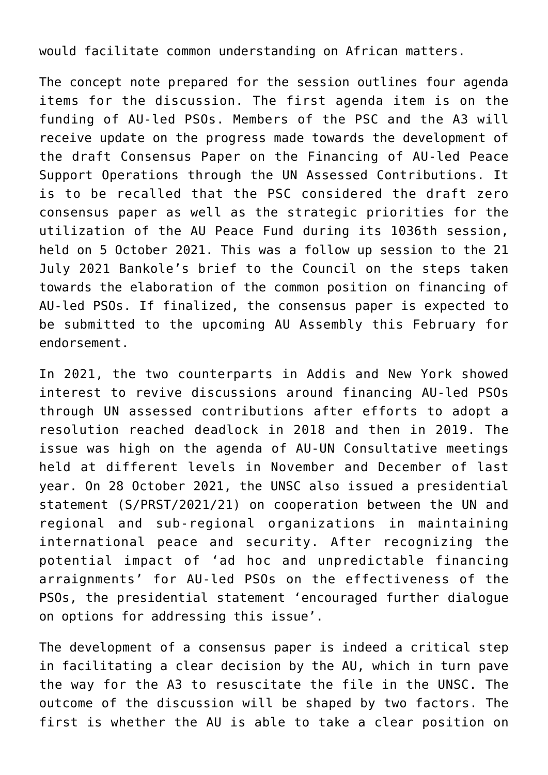would facilitate common understanding on African matters.

The concept note prepared for the session outlines four agenda items for the discussion. The first agenda item is on the funding of AU-led PSOs. Members of the PSC and the A3 will receive update on the progress made towards the development of the draft Consensus Paper on the Financing of AU-led Peace Support Operations through the UN Assessed Contributions. It is to be recalled that the PSC considered the draft zero consensus paper as well as the strategic priorities for the utilization of the AU Peace Fund during its 1036th session, held on 5 October 2021. This was a follow up session to the 21 July 2021 Bankole's brief to the Council on the steps taken towards the elaboration of the common position on financing of AU-led PSOs. If finalized, the consensus paper is expected to be submitted to the upcoming AU Assembly this February for endorsement.

In 2021, the two counterparts in Addis and New York showed interest to revive discussions around financing AU-led PSOs through UN assessed contributions after efforts to adopt a resolution reached deadlock in 2018 and then in 2019. The issue was high on the agenda of AU-UN Consultative meetings held at different levels in November and December of last year. On 28 October 2021, the UNSC also issued a presidential statement (S/PRST/2021/21) on cooperation between the UN and regional and sub-regional organizations in maintaining international peace and security. After recognizing the potential impact of 'ad hoc and unpredictable financing arraignments' for AU-led PSOs on the effectiveness of the PSOs, the presidential statement 'encouraged further dialogue on options for addressing this issue'.

The development of a consensus paper is indeed a critical step in facilitating a clear decision by the AU, which in turn pave the way for the A3 to resuscitate the file in the UNSC. The outcome of the discussion will be shaped by two factors. The first is whether the AU is able to take a clear position on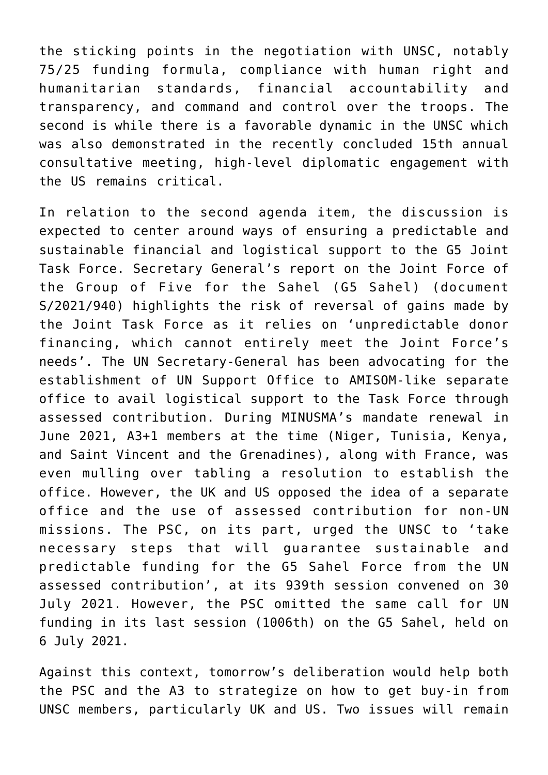the sticking points in the negotiation with UNSC, notably 75/25 funding formula, compliance with human right and humanitarian standards, financial accountability and transparency, and command and control over the troops. The second is while there is a favorable dynamic in the UNSC which was also demonstrated in the recently concluded 15th annual consultative meeting, high-level diplomatic engagement with the US remains critical.

In relation to the second agenda item, the discussion is expected to center around ways of ensuring a predictable and sustainable financial and logistical support to the G5 Joint Task Force. Secretary General's report on the Joint Force of the Group of Five for the Sahel (G5 Sahel) (document S/2021/940) highlights the risk of reversal of gains made by the Joint Task Force as it relies on 'unpredictable donor financing, which cannot entirely meet the Joint Force's needs'. The UN Secretary-General has been advocating for the establishment of UN Support Office to AMISOM-like separate office to avail logistical support to the Task Force through assessed contribution. During MINUSMA's mandate renewal in June 2021, A3+1 members at the time (Niger, Tunisia, Kenya, and Saint Vincent and the Grenadines), along with France, was even mulling over tabling a resolution to establish the office. However, the UK and US opposed the idea of a separate office and the use of assessed contribution for non-UN missions. The PSC, on its part, urged the UNSC to 'take necessary steps that will guarantee sustainable and predictable funding for the G5 Sahel Force from the UN assessed contribution', at its 939th session convened on 30 July 2021. However, the PSC omitted the same call for UN funding in its last session (1006th) on the G5 Sahel, held on 6 July 2021.

Against this context, tomorrow's deliberation would help both the PSC and the A3 to strategize on how to get buy-in from UNSC members, particularly UK and US. Two issues will remain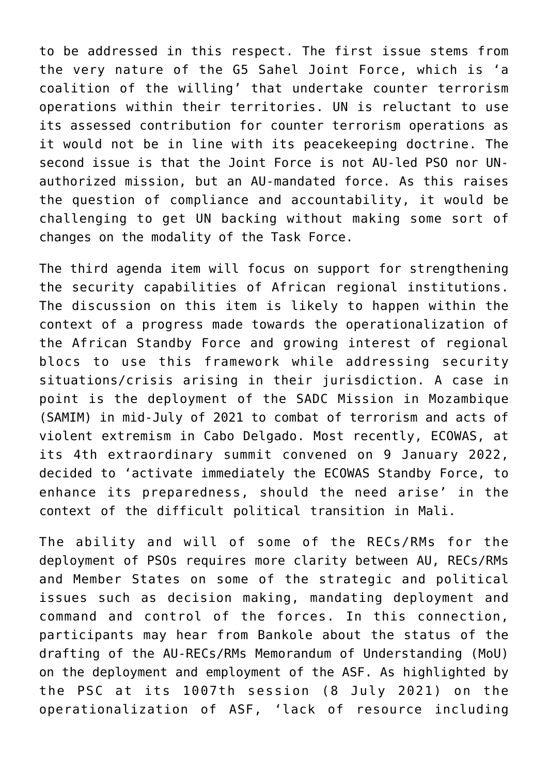to be addressed in this respect. The first issue stems from the very nature of the G5 Sahel Joint Force, which is 'a coalition of the willing' that undertake counter terrorism operations within their territories. UN is reluctant to use its assessed contribution for counter terrorism operations as it would not be in line with its peacekeeping doctrine. The second issue is that the Joint Force is not AU-led PSO nor UNauthorized mission, but an AU-mandated force. As this raises the question of compliance and accountability, it would be challenging to get UN backing without making some sort of changes on the modality of the Task Force.

The third agenda item will focus on support for strengthening the security capabilities of African regional institutions. The discussion on this item is likely to happen within the context of a progress made towards the operationalization of the African Standby Force and growing interest of regional blocs to use this framework while addressing security situations/crisis arising in their jurisdiction. A case in point is the deployment of the SADC Mission in Mozambique (SAMIM) in mid-July of 2021 to combat of terrorism and acts of violent extremism in Cabo Delgado. Most recently, ECOWAS, at its 4th extraordinary summit convened on 9 January 2022, decided to 'activate immediately the ECOWAS Standby Force, to enhance its preparedness, should the need arise' in the context of the difficult political transition in Mali.

The ability and will of some of the RECs/RMs for the deployment of PSOs requires more clarity between AU, RECs/RMs and Member States on some of the strategic and political issues such as decision making, mandating deployment and command and control of the forces. In this connection, participants may hear from Bankole about the status of the drafting of the AU-RECs/RMs Memorandum of Understanding (MoU) on the deployment and employment of the ASF. As highlighted by the PSC at its 1007th session (8 July 2021) on the operationalization of ASF, 'lack of resource including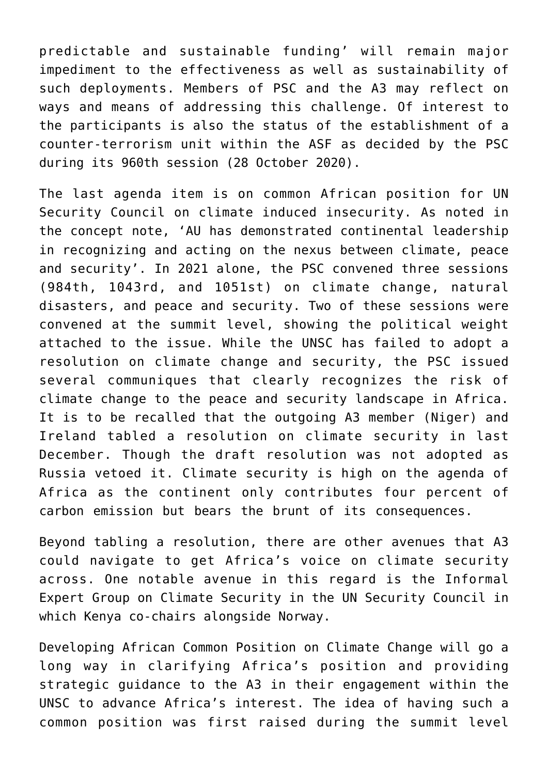predictable and sustainable funding' will remain major impediment to the effectiveness as well as sustainability of such deployments. Members of PSC and the A3 may reflect on ways and means of addressing this challenge. Of interest to the participants is also the status of the establishment of a counter-terrorism unit within the ASF as decided by the PSC during its 960th session (28 October 2020).

The last agenda item is on common African position for UN Security Council on climate induced insecurity. As noted in the concept note, 'AU has demonstrated continental leadership in recognizing and acting on the nexus between climate, peace and security'. In 2021 alone, the PSC convened three sessions (984th, 1043rd, and 1051st) on climate change, natural disasters, and peace and security. Two of these sessions were convened at the summit level, showing the political weight attached to the issue. While the UNSC has failed to adopt a resolution on climate change and security, the PSC issued several communiques that clearly recognizes the risk of climate change to the peace and security landscape in Africa. It is to be recalled that the outgoing A3 member (Niger) and Ireland tabled a resolution on climate security in last December. Though the draft resolution was not adopted as Russia vetoed it. Climate security is high on the agenda of Africa as the continent only contributes four percent of carbon emission but bears the brunt of its consequences.

Beyond tabling a resolution, there are other avenues that A3 could navigate to get Africa's voice on climate security across. One notable avenue in this regard is the Informal Expert Group on Climate Security in the UN Security Council in which Kenya co-chairs alongside Norway.

Developing African Common Position on Climate Change will go a long way in clarifying Africa's position and providing strategic guidance to the A3 in their engagement within the UNSC to advance Africa's interest. The idea of having such a common position was first raised during the summit level